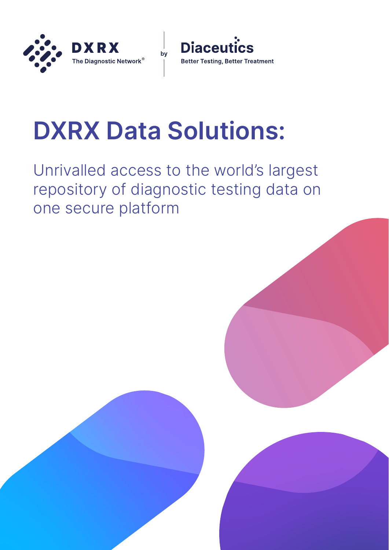



# **DXRX Data Solutions:**

Unrivalled access to the world's largest repository of diagnostic testing data on one secure platform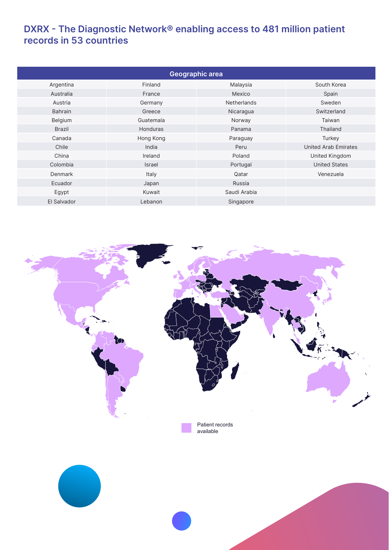## **DXRX - The Diagnostic Network® enabling access to 481 million patient records in 53 countries**

| Geographic area |               |                    |                             |
|-----------------|---------------|--------------------|-----------------------------|
| Argentina       | Finland       | Malaysia           | South Korea                 |
| Australia       | France        | Mexico             | Spain                       |
| Austria         | Germany       | <b>Netherlands</b> | Sweden                      |
| <b>Bahrain</b>  | Greece        | Nicaragua          | Switzerland                 |
| Belgium         | Guatemala     | Norway             | Taiwan                      |
| <b>Brazil</b>   | Honduras      | Panama             | Thailand                    |
| Canada          | Hong Kong     | Paraguay           | Turkey                      |
| Chile           | India         | Peru               | <b>United Arab Emirates</b> |
| China           | Ireland       | Poland             | United Kingdom              |
| Colombia        | <b>Israel</b> | Portugal           | <b>United States</b>        |
| Denmark         | Italy         | Qatar              | Venezuela                   |
| Ecuador         | Japan         | Russia             |                             |
| Egypt           | Kuwait        | Saudi Arabia       |                             |
| El Salvador     | Lebanon       | Singapore          |                             |

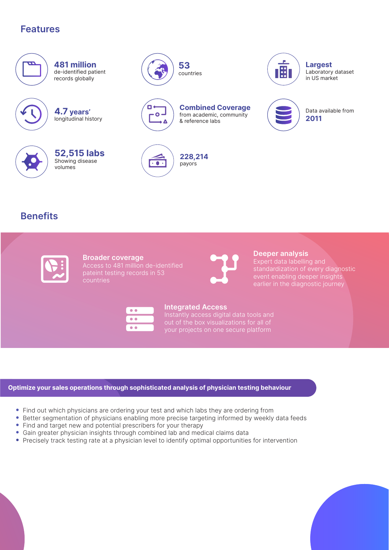# **Features**



**481 million** de-identified patient records globally

**4.7 years'**  longitudinal history



**52,515 labs** Showing disease volumes



countries

**Combined Coverage**  from academic, community & reference labs

**53** 



п  $\ddot{\bullet}$ 

> **228,214** payors

**Benefits**

**Broader coverage**  Access to 481 million de-identified pateint testing records in 53 countries



**Deeper analysis** 

Expert data labelling and standardization of every diagnostic event enabling deeper insights earlier in the diagnostic journey

Data available from

**2011**

**Largest** Laboratory dataset in US market

Ē



## **Integrated Access**

Instantly access digital data tools and

## **Optimize your sales operations through sophisticated analysis of physician testing behaviour**

- Find out which physicians are ordering your test and which labs they are ordering from
- Better segmentation of physicians enabling more precise targeting informed by weekly data feeds
- Find and target new and potential prescribers for your therapy
- Gain greater physician insights through combined lab and medical claims data
- Precisely track testing rate at a physician level to identify optimal opportunities for intervention